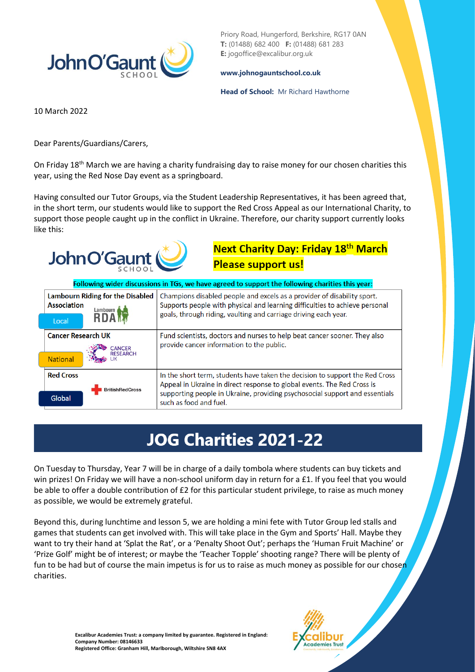

Priory Road, Hungerford, Berkshire, RG17 0AN **T:** (01488) 682 400 **F:** (01488) 681 283 **E:** jogoffice@excalibur.org.uk

## **[www.johnogauntschool.co.uk](http://www.johnogauntschool.co.uk/)**

## **Head of School:** Mr Richard Hawthorne

10 March 2022

Dear Parents/Guardians/Carers,

On Friday 18<sup>th</sup> March we are having a charity fundraising day to raise money for our chosen charities this year, using the Red Nose Day event as a springboard.

Having consulted our Tutor Groups, via the Student Leadership Representatives, it has been agreed that, in the short term, our students would like to support the Red Cross Appeal as our International Charity, to support those people caught up in the conflict in Ukraine. Therefore, our charity support currently looks like this:

## **Next Charity Day: Friday 18th March Please support us!**

| Following wider discussions in TGs, we have agreed to support the following charities this year: |                                                                                                                                                                                                                                                                  |
|--------------------------------------------------------------------------------------------------|------------------------------------------------------------------------------------------------------------------------------------------------------------------------------------------------------------------------------------------------------------------|
| <b>Lambourn Riding for the Disabled</b><br><b>Association</b><br>Lambourn<br>Local               | Champions disabled people and excels as a provider of disability sport.<br>Supports people with physical and learning difficulties to achieve personal<br>goals, through riding, vaulting and carriage driving each year.                                        |
| <b>Cancer Research UK</b><br>CANCER<br><b>RESEARCH</b><br><b>National</b>                        | Fund scientists, doctors and nurses to help beat cancer sooner. They also<br>provide cancer information to the public.                                                                                                                                           |
| <b>Red Cross</b><br><b>BritishRedCross</b><br>Global                                             | In the short term, students have taken the decision to support the Red Cross<br>Appeal in Ukraine in direct response to global events. The Red Cross is<br>supporting people in Ukraine, providing psychosocial support and essentials<br>such as food and fuel. |

## **JOG Charities 2021-22**

On Tuesday to Thursday, Year 7 will be in charge of a daily tombola where students can buy tickets and win prizes! On Friday we will have a non-school uniform day in return for a £1. If you feel that you would be able to offer a double contribution of £2 for this particular student privilege, to raise as much money as possible, we would be extremely grateful.

Beyond this, during lunchtime and lesson 5, we are holding a mini fete with Tutor Group led stalls and games that students can get involved with. This will take place in the Gym and Sports' Hall. Maybe they want to try their hand at 'Splat the Rat', or a 'Penalty Shoot Out'; perhaps the 'Human Fruit Machine' or 'Prize Golf' might be of interest; or maybe the 'Teacher Topple' shooting range? There will be plenty of fun to be had but of course the main impetus is for us to raise as much money as possible for our chosen charities.